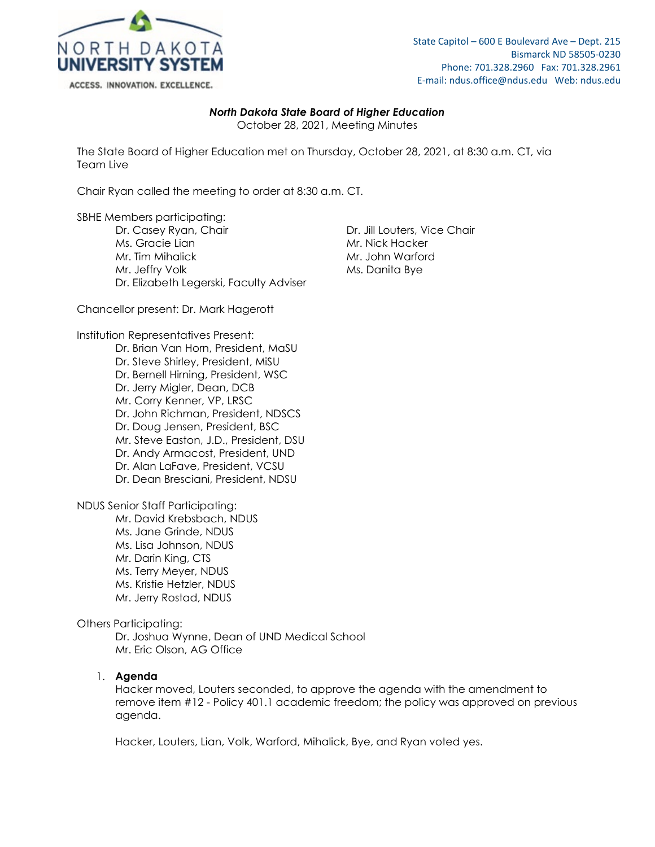

# *North Dakota State Board of Higher Education*

October 28, 2021, Meeting Minutes

The State Board of Higher Education met on Thursday, October 28, 2021, at 8:30 a.m. CT, via Team Live

Chair Ryan called the meeting to order at 8:30 a.m. CT.

SBHE Members participating:

Dr. Casey Ryan, Chair **Dr. Jill Louters, Vice Chair** Ms. Gracie Lian Mr. Nick Hacker Mr. Tim Mihalick Mr. John Warford Mr. Jeffry Volk Ms. Danita Bye Dr. Elizabeth Legerski, Faculty Adviser

Chancellor present: Dr. Mark Hagerott

Institution Representatives Present:

Dr. Brian Van Horn, President, MaSU Dr. Steve Shirley, President, MiSU Dr. Bernell Hirning, President, WSC Dr. Jerry Migler, Dean, DCB Mr. Corry Kenner, VP, LRSC Dr. John Richman, President, NDSCS Dr. Doug Jensen, President, BSC Mr. Steve Easton, J.D., President, DSU Dr. Andy Armacost, President, UND Dr. Alan LaFave, President, VCSU Dr. Dean Bresciani, President, NDSU

NDUS Senior Staff Participating:

Mr. David Krebsbach, NDUS Ms. Jane Grinde, NDUS Ms. Lisa Johnson, NDUS Mr. Darin King, CTS Ms. Terry Meyer, NDUS Ms. Kristie Hetzler, NDUS Mr. Jerry Rostad, NDUS

# Others Participating:

Dr. Joshua Wynne, Dean of UND Medical School Mr. Eric Olson, AG Office

# 1. **Agenda**

Hacker moved, Louters seconded, to approve the agenda with the amendment to remove item #12 - Policy 401.1 academic freedom; the policy was approved on previous agenda.

Hacker, Louters, Lian, Volk, Warford, Mihalick, Bye, and Ryan voted yes.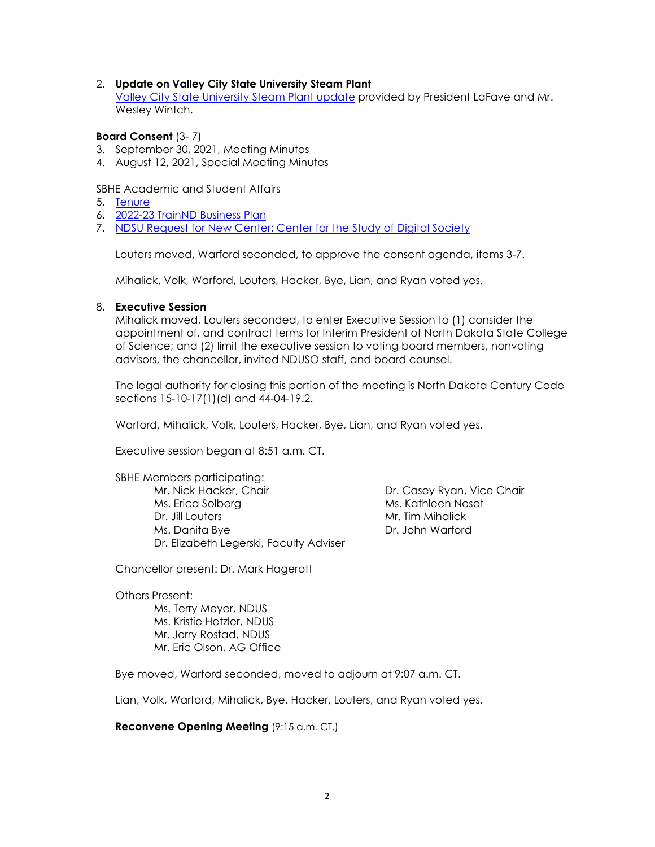## 2. **Update on Valley City State University Steam Plant**

[Valley City State University Steam Plant update](https://ndusbpos.sharepoint.com/:p:/s/NDUSSBHE/ERWtCI7ubstPiqnmuWQ-gCgBWhPujiEKhpLflm66PJGxmQ?e=2Zr4Ra) provided by President LaFave and Mr. Wesley Wintch.

# **Board Consent** (3- 7)

- 3. September 30, 2021, Meeting Minutes
- 4. August 12, 2021, Special Meeting Minutes

## SBHE Academic and Student Affairs

- 5. [Tenure](https://ndusbpos.sharepoint.com/:b:/s/NDUSSBHE/Ed4P6Qg-y8VHtlc1BkzM0oABylM0L_xBeq1OI4b17WJagg?e=Tk838y)
- 6. [2022-23 TrainND Business Plan](https://ndusbpos.sharepoint.com/:b:/s/NDUSSBHE/EURhNzfaXo9OkQnkuXEYjXQBIpyVq6dEyuLhY5ZFxSB8Aw?e=nJIICE)
- 7. [NDSU Request for New Center: Center for the Study of Digital Society](https://ndusbpos.sharepoint.com/:b:/s/NDUSSBHE/EXY1R645Vx9ApI6K8qyp1kwBUdZqQB4_0RGJ5oPE0h4GaA?e=gh8iqj)

Louters moved, Warford seconded, to approve the consent agenda, items 3-7.

Mihalick, Volk, Warford, Louters, Hacker, Bye, Lian, and Ryan voted yes.

## 8. **Executive Session**

Mihalick moved, Louters seconded, to enter Executive Session to (1) consider the appointment of, and contract terms for Interim President of North Dakota State College of Science; and (2) limit the executive session to voting board members, nonvoting advisors, the chancellor, invited NDUSO staff, and board counsel.

The legal authority for closing this portion of the meeting is North Dakota Century Code sections 15-10-17(1)(d) and 44-04-19.2.

Warford, Mihalick, Volk, Louters, Hacker, Bye, Lian, and Ryan voted yes.

Executive session began at 8:51 a.m. CT.

SBHE Members participating: Mr. Nick Hacker, Chair **Dr. Casey Ryan, Vice Chair** Dr. Casey Ryan, Vice Chair Ms. Erica Solberg Ms. Kathleen Neset Dr. Jill Louters **Mr. Tim Mihalick** Ms. Danita Bye Dr. John Warford Dr. Elizabeth Legerski, Faculty Adviser

Chancellor present: Dr. Mark Hagerott

Others Present:

Ms. Terry Meyer, NDUS Ms. Kristie Hetzler, NDUS Mr. Jerry Rostad, NDUS Mr. Eric Olson, AG Office

Bye moved, Warford seconded, moved to adjourn at 9:07 a.m. CT.

Lian, Volk, Warford, Mihalick, Bye, Hacker, Louters, and Ryan voted yes.

**Reconvene Opening Meeting** (9:15 a.m. CT.)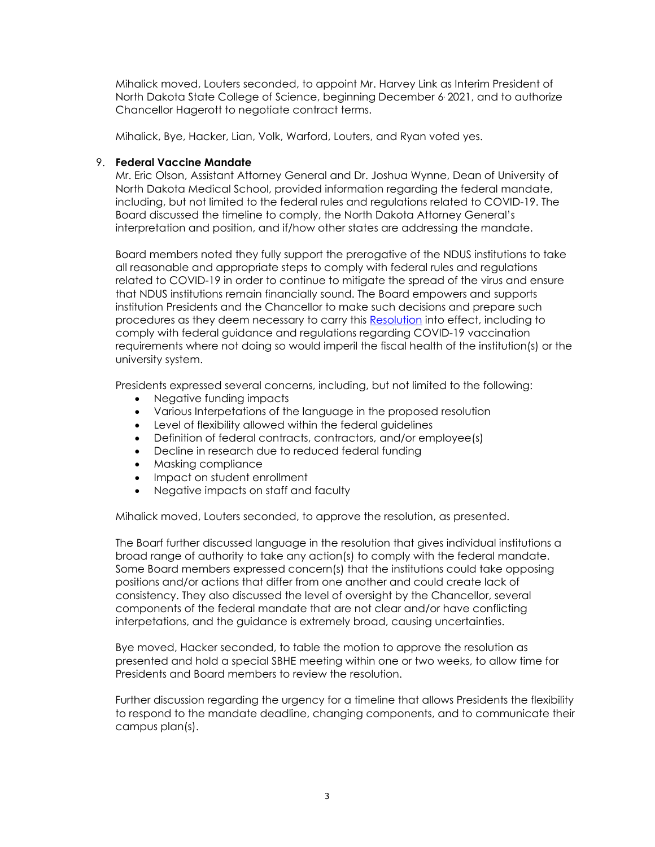Mihalick moved, Louters seconded, to appoint Mr. Harvey Link as Interim President of North Dakota State College of Science, beginning December 6, 2021, and to authorize Chancellor Hagerott to negotiate contract terms.

Mihalick, Bye, Hacker, Lian, Volk, Warford, Louters, and Ryan voted yes.

## 9. **Federal Vaccine Mandate**

Mr. Eric Olson, Assistant Attorney General and Dr. Joshua Wynne, Dean of University of North Dakota Medical School, provided information regarding the federal mandate, including, but not limited to the federal rules and regulations related to COVID-19. The Board discussed the timeline to comply, the North Dakota Attorney General's interpretation and position, and if/how other states are addressing the mandate.

Board members noted they fully support the prerogative of the NDUS institutions to take all reasonable and appropriate steps to comply with federal rules and regulations related to COVID-19 in order to continue to mitigate the spread of the virus and ensure that NDUS institutions remain financially sound. The Board empowers and supports institution Presidents and the Chancellor to make such decisions and prepare such procedures as they deem necessary to carry this [Resolution](https://ndusbpos.sharepoint.com/:b:/s/NDUSSBHE/EadPGsRni6ZGjPTNNZHAoNQBEhXXv4XSAG8tNPZW9H1dgA?e=xNjkp7) into effect, including to comply with federal guidance and regulations regarding COVID-19 vaccination requirements where not doing so would imperil the fiscal health of the institution(s) or the university system.

Presidents expressed several concerns, including, but not limited to the following:

- Negative funding impacts
- Various Interpetations of the language in the proposed resolution
- Level of flexibility allowed within the federal guidelines
- Definition of federal contracts, contractors, and/or employee(s)
- Decline in research due to reduced federal funding
- Masking compliance
- Impact on student enrollment
- Negative impacts on staff and faculty

Mihalick moved, Louters seconded, to approve the resolution, as presented.

The Boarf further discussed language in the resolution that gives individual institutions a broad range of authority to take any action(s) to comply with the federal mandate. Some Board members expressed concern(s) that the institutions could take opposing positions and/or actions that differ from one another and could create lack of consistency. They also discussed the level of oversight by the Chancellor, several components of the federal mandate that are not clear and/or have conflicting interpetations, and the guidance is extremely broad, causing uncertainties.

Bye moved, Hacker seconded, to table the motion to approve the resolution as presented and hold a special SBHE meeting within one or two weeks, to allow time for Presidents and Board members to review the resolution.

Further discussion regarding the urgency for a timeline that allows Presidents the flexibility to respond to the mandate deadline, changing components, and to communicate their campus plan(s).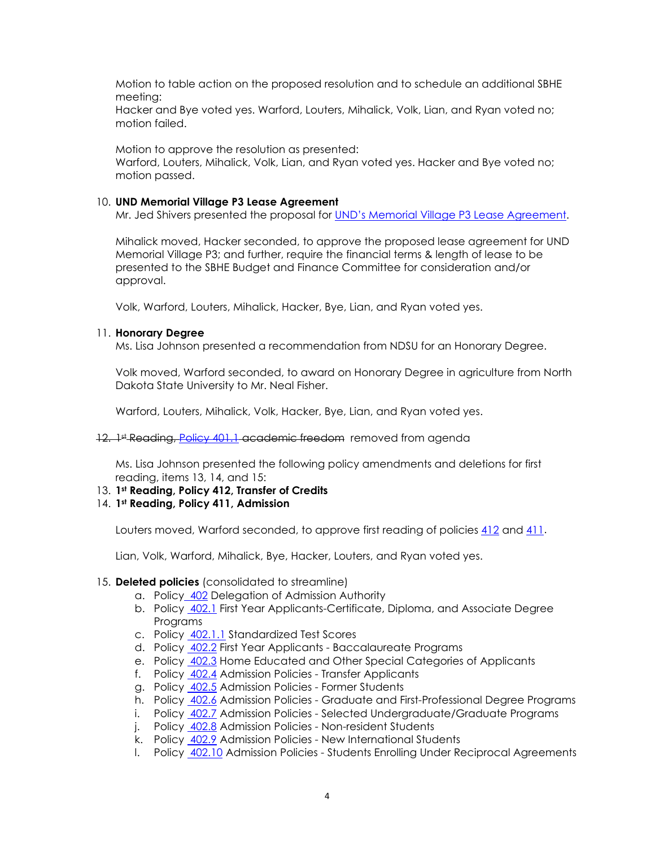Motion to table action on the proposed resolution and to schedule an additional SBHE meeting:

Hacker and Bye voted yes. Warford, Louters, Mihalick, Volk, Lian, and Ryan voted no; motion failed.

Motion to approve the resolution as presented: Warford, Louters, Mihalick, Volk, Lian, and Ryan voted yes. Hacker and Bye voted no; motion passed.

## 10. **UND Memorial Village P3 Lease Agreement**

Mr. Jed Shivers presented the proposal for [UND's Memorial Village P3 Lease Agreement.](https://ndusbpos.sharepoint.com/:b:/s/NDUSSBHE/ESYafQg71QRJt5jmzWR_XjwBJtlaUu-9LqBD97nVvujaFA?e=m9SI83)

Mihalick moved, Hacker seconded, to approve the proposed lease agreement for UND Memorial Village P3; and further, require the financial terms & length of lease to be presented to the SBHE Budget and Finance Committee for consideration and/or approval.

Volk, Warford, Louters, Mihalick, Hacker, Bye, Lian, and Ryan voted yes.

## 11. **Honorary Degree**

Ms. Lisa Johnson presented a recommendation from NDSU for an Honorary Degree.

Volk moved, Warford seconded, to award on Honorary Degree in agriculture from North Dakota State University to Mr. Neal Fisher.

Warford, Louters, Mihalick, Volk, Hacker, Bye, Lian, and Ryan voted yes.

## 12. <sup>1st</sup> Reading, [Policy 401.1](https://ndusbpos.sharepoint.com/:w:/s/NDUSPoliciesandProcedures/EYd4EG4FMTpAk0X6XsWzBOEBWsGV4vaMlb_Yl_s35_hMwA) academic freedom removed from agenda

Ms. Lisa Johnson presented the following policy amendments and deletions for first reading, items 13, 14, and 15:

# 13. **1st Reading, Policy 412, Transfer of Credits**

## 14. **1st Reading, Policy 411, Admission**

Louters moved, Warford seconded, to approve first reading of policies [412](https://ndusbpos.sharepoint.com/:b:/s/NDUSSBHE/EZCXvZUrYOlIpQxgKLZOB5cBq41K8Z1Etk4TAxW0ZCksbA?e=qsRIBE) and [411.](https://ndusbpos.sharepoint.com/:b:/s/NDUSSBHE/EaBTh1V1991KsJuX-V6B_NQBe6CaRjhmdgrjtFCQlItZsQ?e=d3G3Of)

Lian, Volk, Warford, Mihalick, Bye, Hacker, Louters, and Ryan voted yes.

## 15. **Deleted policies** (consolidated to streamline)

- a. Policy [402](https://ndusbpos.sharepoint.com/:w:/s/NDUSPoliciesandProcedures/EVJw0QkNNA9LpO0v8KSJ5agBPh5TdkzWVNy4-WBRYfkQBw?e=LVt3UT) Delegation of Admission Authority
- b. Policy [402.1](https://ndusbpos.sharepoint.com/:w:/s/NDUSPoliciesandProcedures/EXDCKLBD1Y1AqslQa6hjr_sBrPcx_rrqUmEkZTcEzjD2-g?e=3stDH0) First Year Applicants-Certificate, Diploma, and Associate Degree Programs
- c. Policy [402.1.1](https://ndusbpos.sharepoint.com/:w:/s/NDUSPoliciesandProcedures/EcM6GY5ffOhIvdGn9kEyuGQBQE1nnLZc4u12vUqzVUra0w?e=c7LbJs) Standardized Test Scores
- d. Policy [402.2](https://ndusbpos.sharepoint.com/:w:/s/NDUSPoliciesandProcedures/EfV6Q_q8MzFAjucpQw0KpDsBiZf37TyRQi-s4g44Y7xcfg?e=SFc7u6) First Year Applicants Baccalaureate Programs
- e. Policy [402.3](https://ndusbpos.sharepoint.com/:w:/s/NDUSPoliciesandProcedures/EQKAZM0TIE5AgBkff-4Q7WwBRCfWQaw-wse3l01gUeOl8A?e=K6JxGI) Home Educated and Other Special Categories of Applicants
- f. Policy [402.4](https://ndusbpos.sharepoint.com/:w:/s/NDUSPoliciesandProcedures/EQJm1r50EnpOv_yODmpC4B4BvmqXyiUjQ9b0VKQI3zybqQ?e=qIbucp) Admission Policies Transfer Applicants
- g. Policy [402.5](https://ndusbpos.sharepoint.com/:w:/s/NDUSPoliciesandProcedures/EcGRdgM8w8dAhxxYZzdSGFQBw65BBOiYKK0a0ryxwWq51Q?e=qQKkVb) Admission Policies Former Students
- h. Policy [402.6](https://ndusbpos.sharepoint.com/:w:/s/NDUSPoliciesandProcedures/EbOs0hA-FPxAlR8EhPIchpQBWc873ED_Ar7jzkYqZcAmGg?e=eXOUfE) Admission Policies Graduate and First-Professional Degree Programs
- i. Policy [402.7](https://ndusbpos.sharepoint.com/:w:/s/NDUSPoliciesandProcedures/Ef5x47aIUw5ErCBKOIs8AisBUTK9nt0Bj0u87SJLGDICIg?e=jIR3tL) Admission Policies Selected Undergraduate/Graduate Programs
- j. Policy [402.8](https://ndusbpos.sharepoint.com/:w:/s/NDUSPoliciesandProcedures/ER6ZLs00_f9Pima10_K9MNkBRVkKNJj80EseIV4eSVNglQ?e=y9B0lq) Admission Policies Non-resident Students
- k. Policy [402.9](https://ndusbpos.sharepoint.com/:w:/s/NDUSPoliciesandProcedures/EW19MVQDZR5InngNty1SEnMBMtcan8ipSXG6WzFyHmI34g?e=v7dnmZ) Admission Policies New International Students
- l. Policy [402.10](https://ndusbpos.sharepoint.com/:w:/s/NDUSPoliciesandProcedures/EfduJHG8yA9EuHX4NdkLX84BqtMg1N7TmOEmgI8rz-8WSg?e=XMLrfi) Admission Policies Students Enrolling Under Reciprocal Agreements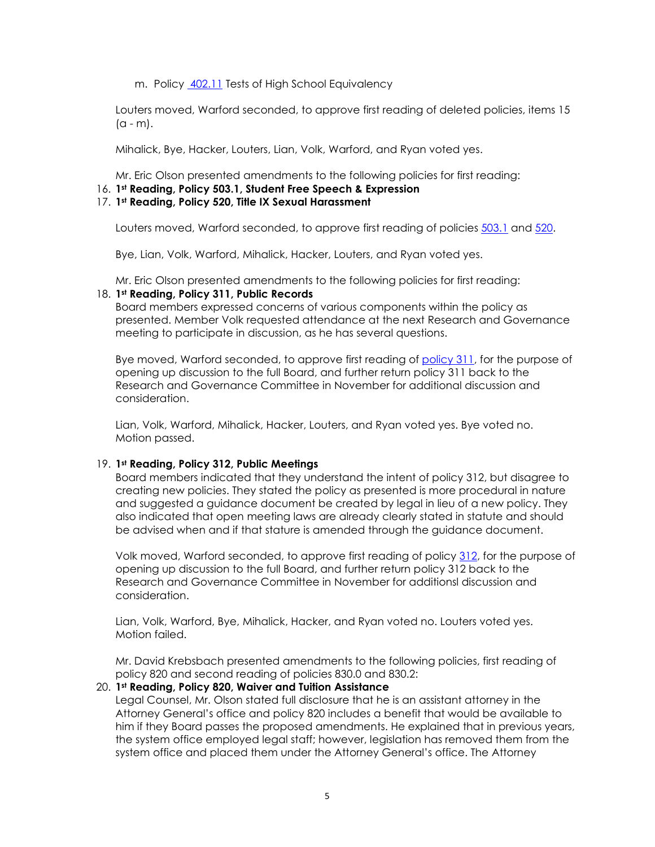m. Policy [402.11](https://ndusbpos.sharepoint.com/:w:/s/NDUSPoliciesandProcedures/EU9RxHXa67hGrdRhzaUsUtoB6e7Z67wYoPIKW7-mxa9UjQ?e=SMmz8B) Tests of High School Equivalency

Louters moved, Warford seconded, to approve first reading of deleted policies, items 15  $(a - m)$ .

Mihalick, Bye, Hacker, Louters, Lian, Volk, Warford, and Ryan voted yes.

Mr. Eric Olson presented amendments to the following policies for first reading:

# 16. **1st Reading, Policy 503.1, Student Free Speech & Expression**

## 17. **1st Reading, Policy 520, Title IX Sexual Harassment**

Louters moved, Warford seconded, to approve first reading of policies [503.1](https://ndusbpos.sharepoint.com/:b:/s/NDUSSBHE/EdhvcTRgGK5FjlKyzg50tH0BpZMtHHy-eR6vmMMmdoABFg?e=5qI1Rx) and [520.](https://ndusbpos.sharepoint.com/:b:/s/NDUSSBHE/EQP-skxfPANKu3xk8OvWP04Bc6b5h28CLjgJRoAn9TKsyA?e=kuaqNU)

Bye, Lian, Volk, Warford, Mihalick, Hacker, Louters, and Ryan voted yes.

Mr. Eric Olson presented amendments to the following policies for first reading:

## 18. **1st Reading, Policy 311, Public Records**

Board members expressed concerns of various components within the policy as presented. Member Volk requested attendance at the next Research and Governance meeting to participate in discussion, as he has several questions.

Bye moved, Warford seconded, to approve first reading of [policy 311,](https://ndusbpos.sharepoint.com/:b:/s/NDUSSBHE/Ec_XMeYf15tAtxNFG0R3DPYByYeHXWN9WaIuqerlEjiKEw?e=5wNi7n) for the purpose of opening up discussion to the full Board, and further return policy 311 back to the Research and Governance Committee in November for additional discussion and consideration.

Lian, Volk, Warford, Mihalick, Hacker, Louters, and Ryan voted yes. Bye voted no. Motion passed.

# 19. **1st Reading, Policy 312, Public Meetings**

Board members indicated that they understand the intent of policy 312, but disagree to creating new policies. They stated the policy as presented is more procedural in nature and suggested a guidance document be created by legal in lieu of a new policy. They also indicated that open meeting laws are already clearly stated in statute and should be advised when and if that stature is amended through the guidance document.

Volk moved, Warford seconded, to approve first reading of policy [312,](https://ndusbpos.sharepoint.com/:b:/s/NDUSSBHE/EWXDBcBeWc1OhhZkwclTFmwBvHz-d3wODKrO2wOYEsBX0g?e=t6dbe3) for the purpose of opening up discussion to the full Board, and further return policy 312 back to the Research and Governance Committee in November for additionsl discussion and consideration.

Lian, Volk, Warford, Bye, Mihalick, Hacker, and Ryan voted no. Louters voted yes. Motion failed.

Mr. David Krebsbach presented amendments to the following policies, first reading of policy 820 and second reading of policies 830.0 and 830.2:

# 20. **1st Reading, Policy 820, Waiver and Tuition Assistance**

Legal Counsel, Mr. Olson stated full disclosure that he is an assistant attorney in the Attorney General's office and policy 820 includes a benefit that would be available to him if they Board passes the proposed amendments. He explained that in previous years, the system office employed legal staff; however, legislation has removed them from the system office and placed them under the Attorney General's office. The Attorney